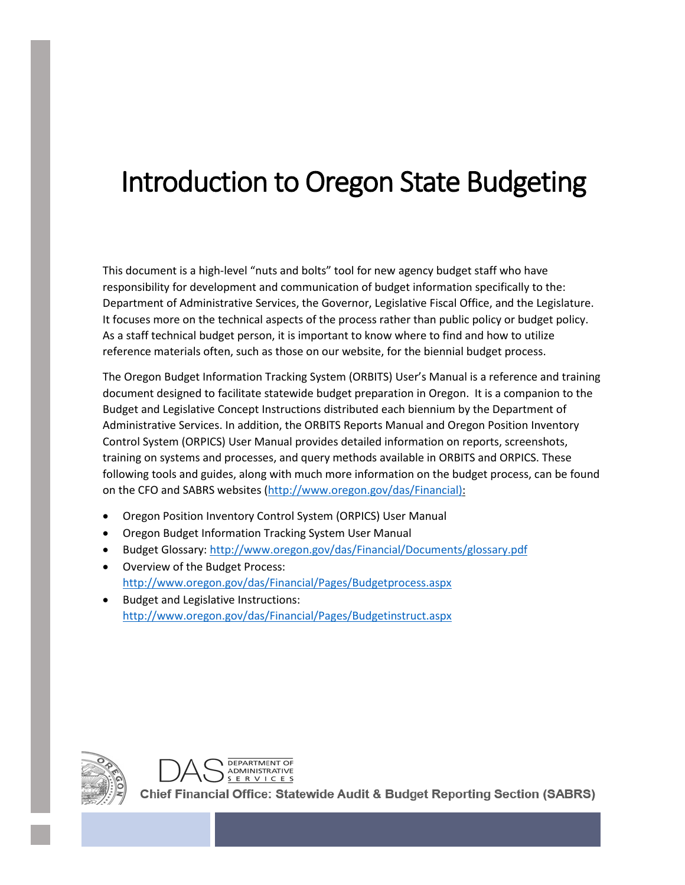# Introduction to Oregon State Budgeting

This document is a high-level "nuts and bolts" tool for new agency budget staff who have responsibility for development and communication of budget information specifically to the: Department of Administrative Services, the Governor, Legislative Fiscal Office, and the Legislature. It focuses more on the technical aspects of the process rather than public policy or budget policy. As a staff technical budget person, it is important to know where to find and how to utilize reference materials often, such as those on our website, for the biennial budget process.

The Oregon Budget Information Tracking System (ORBITS) User's Manual is a reference and training document designed to facilitate statewide budget preparation in Oregon. It is a companion to the Budget and Legislative Concept Instructions distributed each biennium by the Department of Administrative Services. In addition, the ORBITS Reports Manual and Oregon Position Inventory Control System (ORPICS) User Manual provides detailed information on reports, screenshots, training on systems and processes, and query methods available in ORBITS and ORPICS. These following tools and guides, along with much more information on the budget process, can be found on the CFO and SABRS websites [\(http://www.oregon.gov/das/Financial\)](http://www.oregon.gov/das/Financial):

- Oregon Position Inventory Control System (ORPICS) User Manual
- Oregon Budget Information Tracking System User Manual

DEPARTMENT OF ADMINISTRATIVE

- Budget Glossary[: http://www.oregon.gov/das/Financial/Documents/glossary.pdf](http://www.oregon.gov/das/Financial/Documents/glossary.pdf)
- Overview of the Budget Process: <http://www.oregon.gov/das/Financial/Pages/Budgetprocess.aspx>
- Budget and Legislative Instructions: <http://www.oregon.gov/das/Financial/Pages/Budgetinstruct.aspx>



Chief Financial Office: Statewide Audit & Budget Reporting Section (SABRS)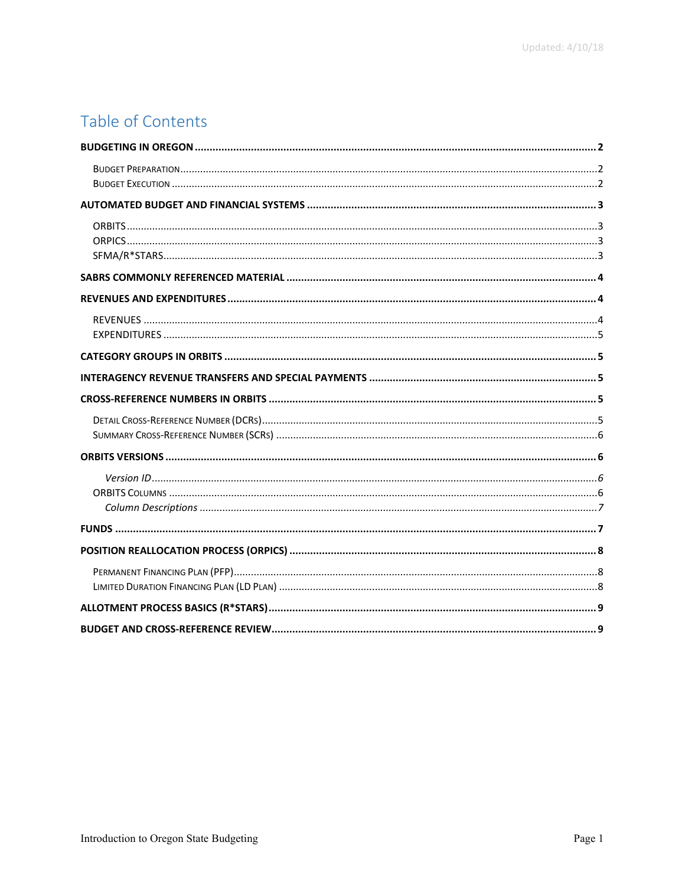# Table of Contents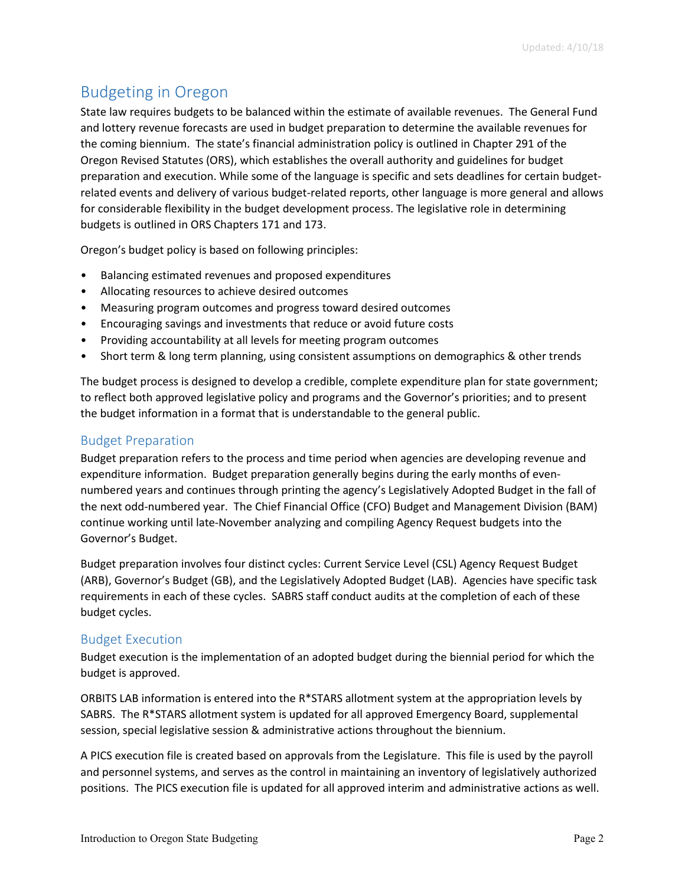# <span id="page-2-0"></span>Budgeting in Oregon

State law requires budgets to be balanced within the estimate of available revenues. The General Fund and lottery revenue forecasts are used in budget preparation to determine the available revenues for the coming biennium. The state's financial administration policy is outlined in Chapter 291 of the Oregon Revised Statutes (ORS), which establishes the overall authority and guidelines for budget preparation and execution. While some of the language is specific and sets deadlines for certain budgetrelated events and delivery of various budget-related reports, other language is more general and allows for considerable flexibility in the budget development process. The legislative role in determining budgets is outlined in ORS Chapters 171 and 173.

Oregon's budget policy is based on following principles:

- Balancing estimated revenues and proposed expenditures
- Allocating resources to achieve desired outcomes
- Measuring program outcomes and progress toward desired outcomes
- Encouraging savings and investments that reduce or avoid future costs
- Providing accountability at all levels for meeting program outcomes
- Short term & long term planning, using consistent assumptions on demographics & other trends

The budget process is designed to develop a credible, complete expenditure plan for state government; to reflect both approved legislative policy and programs and the Governor's priorities; and to present the budget information in a format that is understandable to the general public.

## <span id="page-2-1"></span>Budget Preparation

Budget preparation refers to the process and time period when agencies are developing revenue and expenditure information. Budget preparation generally begins during the early months of evennumbered years and continues through printing the agency's Legislatively Adopted Budget in the fall of the next odd-numbered year. The Chief Financial Office (CFO) Budget and Management Division (BAM) continue working until late-November analyzing and compiling Agency Request budgets into the Governor's Budget.

Budget preparation involves four distinct cycles: Current Service Level (CSL) Agency Request Budget (ARB), Governor's Budget (GB), and the Legislatively Adopted Budget (LAB). Agencies have specific task requirements in each of these cycles. SABRS staff conduct audits at the completion of each of these budget cycles.

#### <span id="page-2-2"></span>Budget Execution

Budget execution is the implementation of an adopted budget during the biennial period for which the budget is approved.

ORBITS LAB information is entered into the R\*STARS allotment system at the appropriation levels by SABRS. The R\*STARS allotment system is updated for all approved Emergency Board, supplemental session, special legislative session & administrative actions throughout the biennium.

A PICS execution file is created based on approvals from the Legislature. This file is used by the payroll and personnel systems, and serves as the control in maintaining an inventory of legislatively authorized positions. The PICS execution file is updated for all approved interim and administrative actions as well.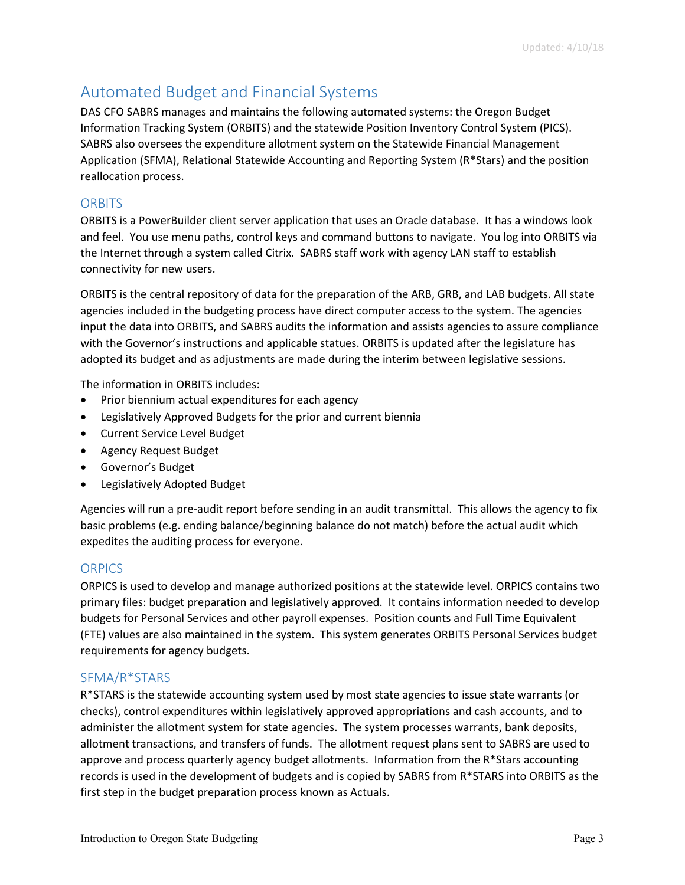# <span id="page-3-0"></span>Automated Budget and Financial Systems

DAS CFO SABRS manages and maintains the following automated systems: the Oregon Budget Information Tracking System (ORBITS) and the statewide Position Inventory Control System (PICS). SABRS also oversees the expenditure allotment system on the Statewide Financial Management Application (SFMA), Relational Statewide Accounting and Reporting System (R\*Stars) and the position reallocation process.

## <span id="page-3-1"></span>**ORBITS**

ORBITS is a PowerBuilder client server application that uses an Oracle database. It has a windows look and feel. You use menu paths, control keys and command buttons to navigate. You log into ORBITS via the Internet through a system called Citrix. SABRS staff work with agency LAN staff to establish connectivity for new users.

ORBITS is the central repository of data for the preparation of the ARB, GRB, and LAB budgets. All state agencies included in the budgeting process have direct computer access to the system. The agencies input the data into ORBITS, and SABRS audits the information and assists agencies to assure compliance with the Governor's instructions and applicable statues. ORBITS is updated after the legislature has adopted its budget and as adjustments are made during the interim between legislative sessions.

The information in ORBITS includes:

- Prior biennium actual expenditures for each agency
- Legislatively Approved Budgets for the prior and current biennia
- Current Service Level Budget
- Agency Request Budget
- Governor's Budget
- Legislatively Adopted Budget

Agencies will run a pre-audit report before sending in an audit transmittal. This allows the agency to fix basic problems (e.g. ending balance/beginning balance do not match) before the actual audit which expedites the auditing process for everyone.

#### <span id="page-3-2"></span>**ORPICS**

ORPICS is used to develop and manage authorized positions at the statewide level. ORPICS contains two primary files: budget preparation and legislatively approved. It contains information needed to develop budgets for Personal Services and other payroll expenses. Position counts and Full Time Equivalent (FTE) values are also maintained in the system. This system generates ORBITS Personal Services budget requirements for agency budgets.

#### <span id="page-3-3"></span>SFMA/R\*STARS

R\*STARS is the statewide accounting system used by most state agencies to issue state warrants (or checks), control expenditures within legislatively approved appropriations and cash accounts, and to administer the allotment system for state agencies. The system processes warrants, bank deposits, allotment transactions, and transfers of funds. The allotment request plans sent to SABRS are used to approve and process quarterly agency budget allotments. Information from the R\*Stars accounting records is used in the development of budgets and is copied by SABRS from R\*STARS into ORBITS as the first step in the budget preparation process known as Actuals.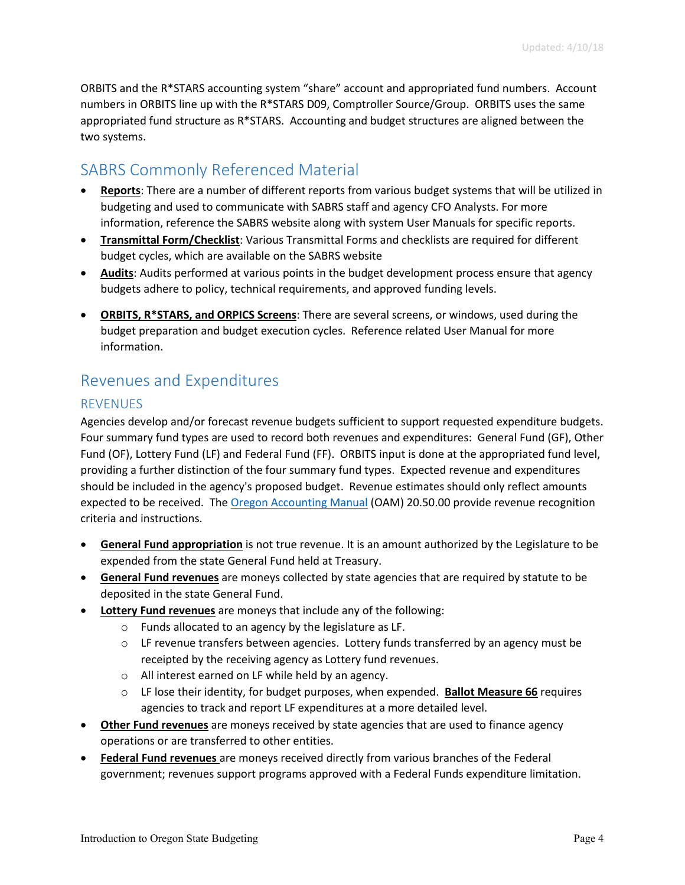ORBITS and the R\*STARS accounting system "share" account and appropriated fund numbers. Account numbers in ORBITS line up with the R\*STARS D09, Comptroller Source/Group. ORBITS uses the same appropriated fund structure as R\*STARS. Accounting and budget structures are aligned between the two systems.

# <span id="page-4-0"></span>SABRS Commonly Referenced Material

- **Reports**: There are a number of different reports from various budget systems that will be utilized in budgeting and used to communicate with SABRS staff and agency CFO Analysts. For more information, reference the SABRS website along with system User Manuals for specific reports.
- **Transmittal Form/Checklist**: Various Transmittal Forms and checklists are required for different budget cycles, which are available on the SABRS website
- **Audits**: Audits performed at various points in the budget development process ensure that agency budgets adhere to policy, technical requirements, and approved funding levels.
- **ORBITS, R\*STARS, and ORPICS Screens**: There are several screens, or windows, used during the budget preparation and budget execution cycles. Reference related User Manual for more information.

# <span id="page-4-1"></span>Revenues and Expenditures

## <span id="page-4-2"></span>REVENUES

Agencies develop and/or forecast revenue budgets sufficient to support requested expenditure budgets. Four summary fund types are used to record both revenues and expenditures: General Fund (GF), Other Fund (OF), Lottery Fund (LF) and Federal Fund (FF). ORBITS input is done at the appropriated fund level, providing a further distinction of the four summary fund types. Expected revenue and expenditures should be included in the agency's proposed budget. Revenue estimates should only reflect amounts expected to be received. The [Oregon Accounting Manual](http://www.oregon.gov/das/Financial/Acctng/Pages/OAM.aspx) (OAM) 20.50.00 provide revenue recognition criteria and instructions.

- **General Fund appropriation** is not true revenue. It is an amount authorized by the Legislature to be expended from the state General Fund held at Treasury.
- **General Fund revenues** are moneys collected by state agencies that are required by statute to be deposited in the state General Fund.
- **Lottery Fund revenues** are moneys that include any of the following:
	- o Funds allocated to an agency by the legislature as LF.
	- $\circ$  LF revenue transfers between agencies. Lottery funds transferred by an agency must be receipted by the receiving agency as Lottery fund revenues.
	- o All interest earned on LF while held by an agency.
	- o LF lose their identity, for budget purposes, when expended. **Ballot Measure 66** requires agencies to track and report LF expenditures at a more detailed level.
- **Other Fund revenues** are moneys received by state agencies that are used to finance agency operations or are transferred to other entities.
- **Federal Fund revenues** are moneys received directly from various branches of the Federal government; revenues support programs approved with a Federal Funds expenditure limitation.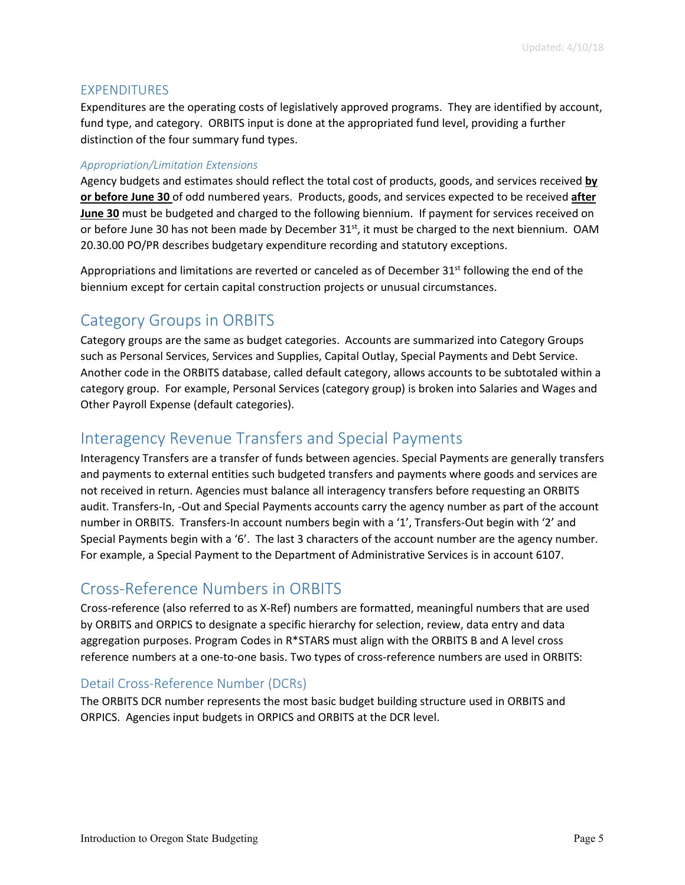#### <span id="page-5-0"></span>EXPENDITURES

Expenditures are the operating costs of legislatively approved programs. They are identified by account, fund type, and category. ORBITS input is done at the appropriated fund level, providing a further distinction of the four summary fund types.

#### *Appropriation/Limitation Extensions*

Agency budgets and estimates should reflect the total cost of products, goods, and services received **by or before June 30** of odd numbered years. Products, goods, and services expected to be received **after June 30** must be budgeted and charged to the following biennium. If payment for services received on or before June 30 has not been made by December 31<sup>st</sup>, it must be charged to the next biennium. OAM 20.30.00 PO/PR describes budgetary expenditure recording and statutory exceptions.

Appropriations and limitations are reverted or canceled as of December  $31<sup>st</sup>$  following the end of the biennium except for certain capital construction projects or unusual circumstances.

## <span id="page-5-1"></span>Category Groups in ORBITS

Category groups are the same as budget categories. Accounts are summarized into Category Groups such as Personal Services, Services and Supplies, Capital Outlay, Special Payments and Debt Service. Another code in the ORBITS database, called default category, allows accounts to be subtotaled within a category group. For example, Personal Services (category group) is broken into Salaries and Wages and Other Payroll Expense (default categories).

## <span id="page-5-2"></span>Interagency Revenue Transfers and Special Payments

Interagency Transfers are a transfer of funds between agencies. Special Payments are generally transfers and payments to external entities such budgeted transfers and payments where goods and services are not received in return. Agencies must balance all interagency transfers before requesting an ORBITS audit. Transfers-In, -Out and Special Payments accounts carry the agency number as part of the account number in ORBITS. Transfers-In account numbers begin with a '1', Transfers-Out begin with '2' and Special Payments begin with a '6'. The last 3 characters of the account number are the agency number. For example, a Special Payment to the Department of Administrative Services is in account 6107.

## <span id="page-5-3"></span>Cross-Reference Numbers in ORBITS

Cross-reference (also referred to as X-Ref) numbers are formatted, meaningful numbers that are used by ORBITS and ORPICS to designate a specific hierarchy for selection, review, data entry and data aggregation purposes. Program Codes in R\*STARS must align with the ORBITS B and A level cross reference numbers at a one-to-one basis. Two types of cross-reference numbers are used in ORBITS:

#### <span id="page-5-4"></span>Detail Cross-Reference Number (DCRs)

The ORBITS DCR number represents the most basic budget building structure used in ORBITS and ORPICS. Agencies input budgets in ORPICS and ORBITS at the DCR level.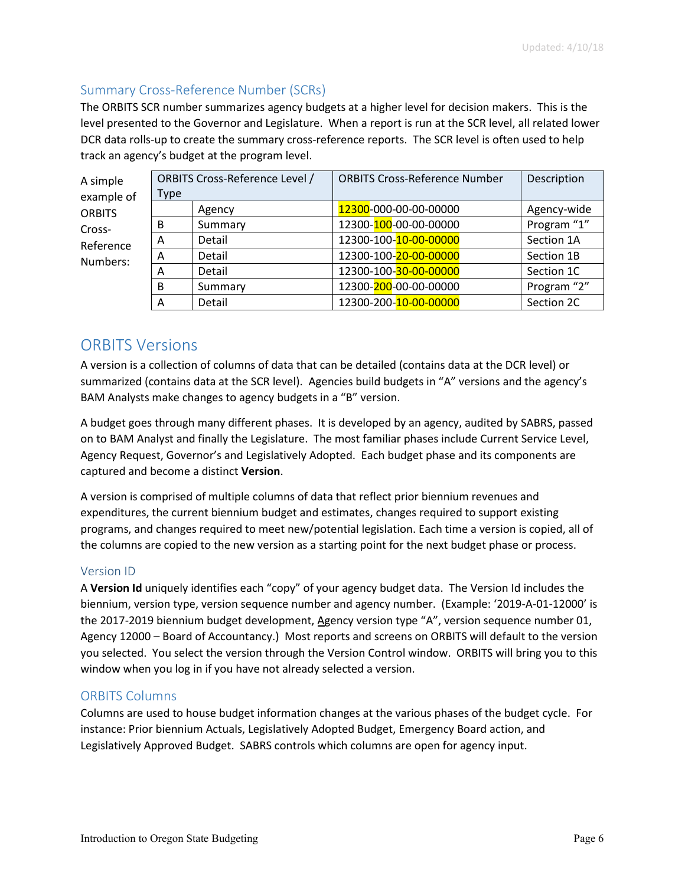## <span id="page-6-0"></span>Summary Cross-Reference Number (SCRs)

The ORBITS SCR number summarizes agency budgets at a higher level for decision makers. This is the level presented to the Governor and Legislature. When a report is run at the SCR level, all related lower DCR data rolls-up to create the summary cross-reference reports. The SCR level is often used to help track an agency's budget at the program level.

| A simple                        | ORBITS Cross-Reference Level / |         | <b>ORBITS Cross-Reference Number</b> | Description |
|---------------------------------|--------------------------------|---------|--------------------------------------|-------------|
| example of                      | <b>Type</b>                    |         |                                      |             |
| <b>ORBITS</b>                   |                                | Agency  | 12300-000-00-00-00000                | Agency-wide |
| Cross-<br>Reference<br>Numbers: | B                              | Summary | 12300-100-00-00-00000                | Program "1" |
|                                 | Α                              | Detail  | 12300-100-10-00-00000                | Section 1A  |
|                                 | A                              | Detail  | 12300-100-20-00-00000                | Section 1B  |
|                                 | А                              | Detail  | 12300-100-30-00-00000                | Section 1C  |
|                                 | B                              | Summary | 12300-200-00-00-00000                | Program "2" |
|                                 | А                              | Detail  | 12300-200-10-00-00000                | Section 2C  |

## <span id="page-6-1"></span>ORBITS Versions

A version is a collection of columns of data that can be detailed (contains data at the DCR level) or summarized (contains data at the SCR level). Agencies build budgets in "A" versions and the agency's BAM Analysts make changes to agency budgets in a "B" version.

A budget goes through many different phases. It is developed by an agency, audited by SABRS, passed on to BAM Analyst and finally the Legislature. The most familiar phases include Current Service Level, Agency Request, Governor's and Legislatively Adopted. Each budget phase and its components are captured and become a distinct **Version**.

A version is comprised of multiple columns of data that reflect prior biennium revenues and expenditures, the current biennium budget and estimates, changes required to support existing programs, and changes required to meet new/potential legislation. Each time a version is copied, all of the columns are copied to the new version as a starting point for the next budget phase or process.

#### <span id="page-6-2"></span>Version ID

A **Version Id** uniquely identifies each "copy" of your agency budget data. The Version Id includes the biennium, version type, version sequence number and agency number. (Example: '2019-A-01-12000' is the 2017-2019 biennium budget development, Agency version type "A", version sequence number 01, Agency 12000 – Board of Accountancy.) Most reports and screens on ORBITS will default to the version you selected. You select the version through the Version Control window. ORBITS will bring you to this window when you log in if you have not already selected a version.

#### <span id="page-6-3"></span>ORBITS Columns

Columns are used to house budget information changes at the various phases of the budget cycle. For instance: Prior biennium Actuals, Legislatively Adopted Budget, Emergency Board action, and Legislatively Approved Budget. SABRS controls which columns are open for agency input.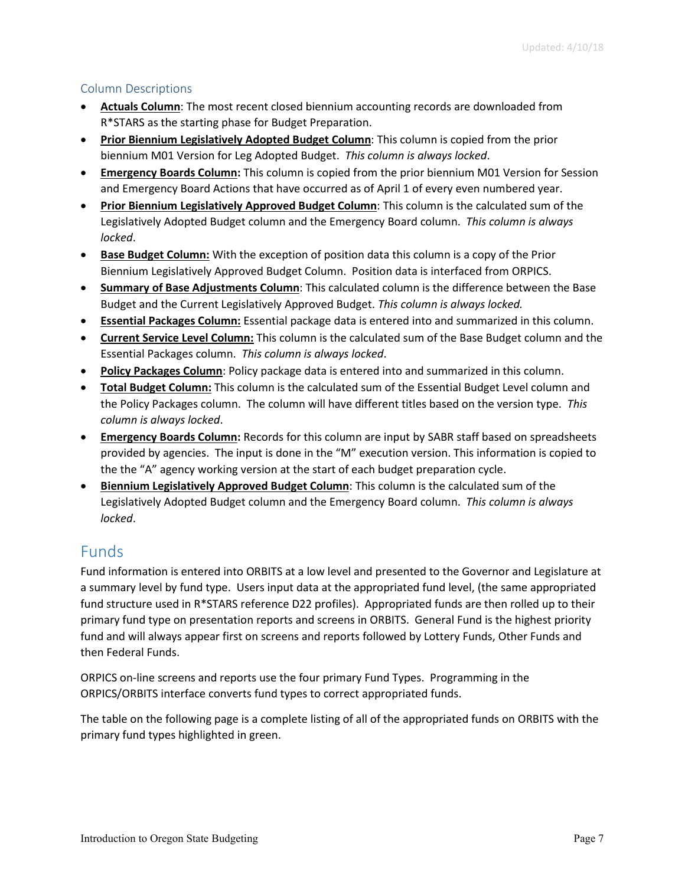## <span id="page-7-0"></span>Column Descriptions

- **Actuals Column**: The most recent closed biennium accounting records are downloaded from R\*STARS as the starting phase for Budget Preparation.
- **Prior Biennium Legislatively Adopted Budget Column**: This column is copied from the prior biennium M01 Version for Leg Adopted Budget. *This column is always locked*.
- **Emergency Boards Column:** This column is copied from the prior biennium M01 Version for Session and Emergency Board Actions that have occurred as of April 1 of every even numbered year.
- **Prior Biennium Legislatively Approved Budget Column**: This column is the calculated sum of the Legislatively Adopted Budget column and the Emergency Board column. *This column is always locked*.
- **Base Budget Column:** With the exception of position data this column is a copy of the Prior Biennium Legislatively Approved Budget Column. Position data is interfaced from ORPICS.
- **Summary of Base Adjustments Column**: This calculated column is the difference between the Base Budget and the Current Legislatively Approved Budget. *This column is always locked.*
- **Essential Packages Column:** Essential package data is entered into and summarized in this column.
- **Current Service Level Column:** This column is the calculated sum of the Base Budget column and the Essential Packages column. *This column is always locked*.
- **Policy Packages Column**: Policy package data is entered into and summarized in this column.
- **Total Budget Column:** This column is the calculated sum of the Essential Budget Level column and the Policy Packages column. The column will have different titles based on the version type. *This column is always locked*.
- **Emergency Boards Column:** Records for this column are input by SABR staff based on spreadsheets provided by agencies. The input is done in the "M" execution version. This information is copied to the the "A" agency working version at the start of each budget preparation cycle.
- **Biennium Legislatively Approved Budget Column**: This column is the calculated sum of the Legislatively Adopted Budget column and the Emergency Board column. *This column is always locked*.

# <span id="page-7-1"></span>Funds

Fund information is entered into ORBITS at a low level and presented to the Governor and Legislature at a summary level by fund type. Users input data at the appropriated fund level, (the same appropriated fund structure used in R\*STARS reference D22 profiles). Appropriated funds are then rolled up to their primary fund type on presentation reports and screens in ORBITS. General Fund is the highest priority fund and will always appear first on screens and reports followed by Lottery Funds, Other Funds and then Federal Funds.

ORPICS on-line screens and reports use the four primary Fund Types. Programming in the ORPICS/ORBITS interface converts fund types to correct appropriated funds.

The table on the following page is a complete listing of all of the appropriated funds on ORBITS with the primary fund types highlighted in green.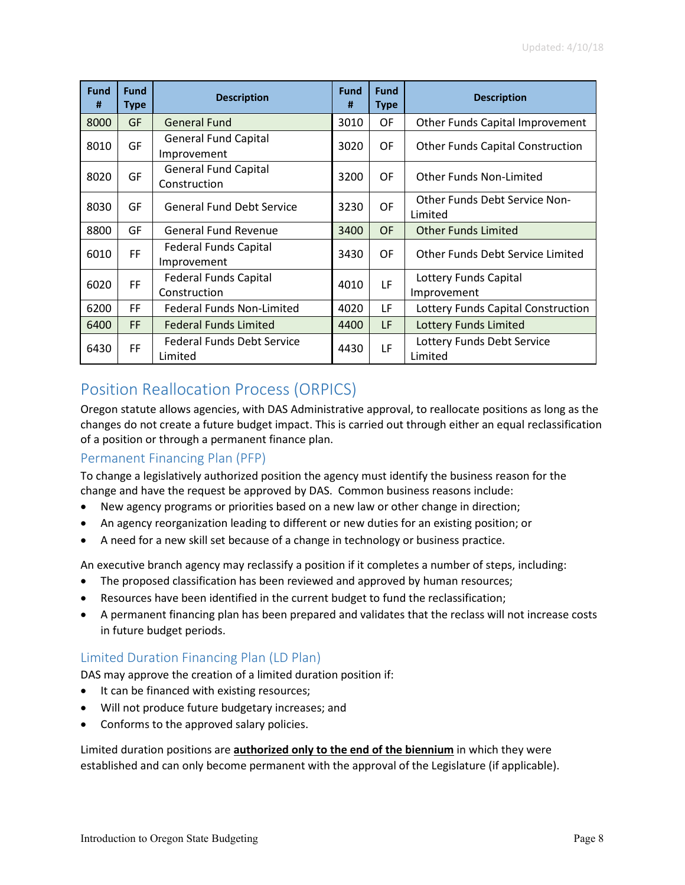| <b>Fund</b><br># | <b>Fund</b><br><b>Type</b> | <b>Description</b>                           | <b>Fund</b><br># | <b>Fund</b><br><b>Type</b> | <b>Description</b>                              |
|------------------|----------------------------|----------------------------------------------|------------------|----------------------------|-------------------------------------------------|
| 8000             | GF                         | <b>General Fund</b>                          | 3010             | OF                         | Other Funds Capital Improvement                 |
| 8010             | GF                         | <b>General Fund Capital</b><br>Improvement   | 3020             | OF                         | <b>Other Funds Capital Construction</b>         |
| 8020             | GF                         | <b>General Fund Capital</b><br>Construction  | 3200             | OF                         | <b>Other Funds Non-Limited</b>                  |
| 8030             | GF                         | <b>General Fund Debt Service</b>             | 3230             | OF                         | <b>Other Funds Debt Service Non-</b><br>Limited |
| 8800             | GF                         | General Fund Revenue                         | 3400             | <b>OF</b>                  | <b>Other Funds Limited</b>                      |
| 6010             | FF                         | <b>Federal Funds Capital</b><br>Improvement  | 3430             | OF                         | Other Funds Debt Service Limited                |
| 6020             | FF                         | <b>Federal Funds Capital</b><br>Construction | 4010             | LF                         | Lottery Funds Capital<br>Improvement            |
| 6200             | FF                         | <b>Federal Funds Non-Limited</b>             | 4020             | LF                         | Lottery Funds Capital Construction              |
| 6400             | FF                         | <b>Federal Funds Limited</b>                 | 4400             | LF                         | <b>Lottery Funds Limited</b>                    |
| 6430             | FF                         | <b>Federal Funds Debt Service</b><br>Limited | 4430             | LF                         | Lottery Funds Debt Service<br>Limited           |

# <span id="page-8-0"></span>Position Reallocation Process (ORPICS)

Oregon statute allows agencies, with DAS Administrative approval, to reallocate positions as long as the changes do not create a future budget impact. This is carried out through either an equal reclassification of a position or through a permanent finance plan.

## <span id="page-8-1"></span>Permanent Financing Plan (PFP)

To change a legislatively authorized position the agency must identify the business reason for the change and have the request be approved by DAS. Common business reasons include:

- New agency programs or priorities based on a new law or other change in direction;
- An agency reorganization leading to different or new duties for an existing position; or
- A need for a new skill set because of a change in technology or business practice.

An executive branch agency may reclassify a position if it completes a number of steps, including:

- The proposed classification has been reviewed and approved by human resources;
- Resources have been identified in the current budget to fund the reclassification;
- A permanent financing plan has been prepared and validates that the reclass will not increase costs in future budget periods.

## <span id="page-8-2"></span>Limited Duration Financing Plan (LD Plan)

DAS may approve the creation of a limited duration position if:

- It can be financed with existing resources;
- Will not produce future budgetary increases; and
- Conforms to the approved salary policies.

Limited duration positions are **authorized only to the end of the biennium** in which they were established and can only become permanent with the approval of the Legislature (if applicable).